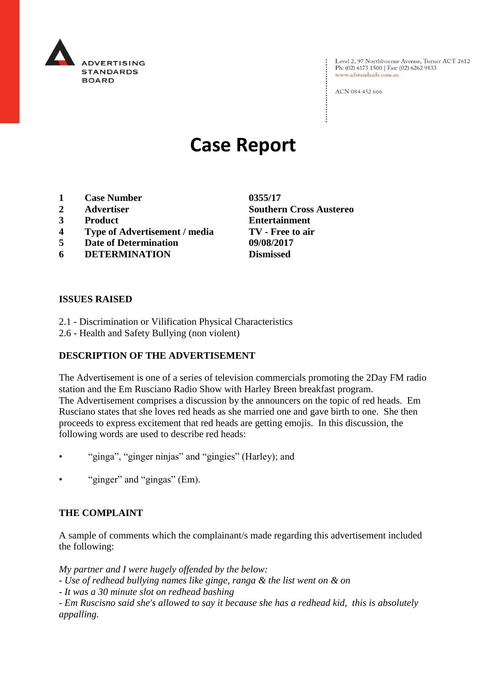

Level 2, 97 Northbourne Avenue, Turner ACT 2612<br>Ph: (02) 6173 1500 | Fax: (02) 6262 9833 www.adstandards.com.au

ACN 084 452 666

# **Case Report**

- **1 Case Number 0355/17**
- **2 Advertiser Southern Cross Austereo**
- **3 Product Entertainment**
- **4 Type of Advertisement / media TV - Free to air**
- **5 Date of Determination 09/08/2017**
- **6 DETERMINATION Dismissed**

## **ISSUES RAISED**

- 2.1 Discrimination or Vilification Physical Characteristics
- 2.6 Health and Safety Bullying (non violent)

# **DESCRIPTION OF THE ADVERTISEMENT**

The Advertisement is one of a series of television commercials promoting the 2Day FM radio station and the Em Rusciano Radio Show with Harley Breen breakfast program. The Advertisement comprises a discussion by the announcers on the topic of red heads. Em Rusciano states that she loves red heads as she married one and gave birth to one. She then proceeds to express excitement that red heads are getting emojis. In this discussion, the following words are used to describe red heads:

- "ginga", "ginger ninjas" and "gingies" (Harley); and
- "ginger" and "gingas" (Em).

### **THE COMPLAINT**

A sample of comments which the complainant/s made regarding this advertisement included the following:

*My partner and I were hugely offended by the below:*

*- Use of redhead bullying names like ginge, ranga & the list went on & on*

*- It was a 30 minute slot on redhead bashing*

*- Em Ruscisno said she's allowed to say it because she has a redhead kid, this is absolutely appalling.*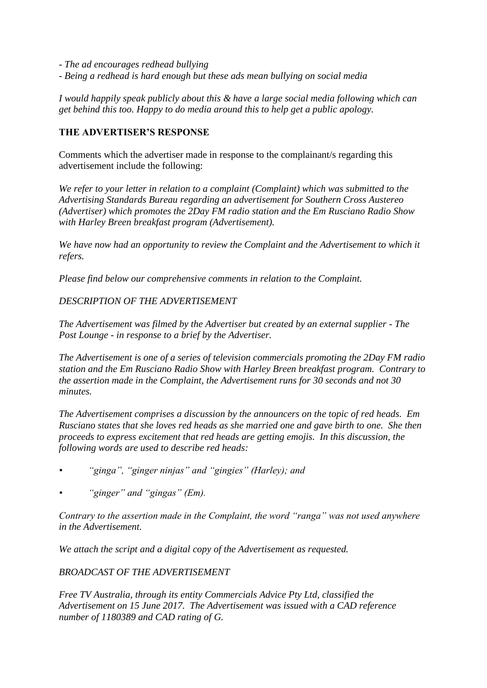- *- The ad encourages redhead bullying*
- *- Being a redhead is hard enough but these ads mean bullying on social media*

*I would happily speak publicly about this & have a large social media following which can get behind this too. Happy to do media around this to help get a public apology.* 

### **THE ADVERTISER'S RESPONSE**

Comments which the advertiser made in response to the complainant/s regarding this advertisement include the following:

*We refer to your letter in relation to a complaint (Complaint) which was submitted to the Advertising Standards Bureau regarding an advertisement for Southern Cross Austereo (Advertiser) which promotes the 2Day FM radio station and the Em Rusciano Radio Show with Harley Breen breakfast program (Advertisement).*

*We have now had an opportunity to review the Complaint and the Advertisement to which it refers.*

*Please find below our comprehensive comments in relation to the Complaint.*

## *DESCRIPTION OF THE ADVERTISEMENT*

*The Advertisement was filmed by the Advertiser but created by an external supplier - The Post Lounge - in response to a brief by the Advertiser.*

*The Advertisement is one of a series of television commercials promoting the 2Day FM radio station and the Em Rusciano Radio Show with Harley Breen breakfast program. Contrary to the assertion made in the Complaint, the Advertisement runs for 30 seconds and not 30 minutes.*

*The Advertisement comprises a discussion by the announcers on the topic of red heads. Em Rusciano states that she loves red heads as she married one and gave birth to one. She then proceeds to express excitement that red heads are getting emojis. In this discussion, the following words are used to describe red heads:*

- *• "ginga", "ginger ninjas" and "gingies" (Harley); and*
- *• "ginger" and "gingas" (Em).*

*Contrary to the assertion made in the Complaint, the word "ranga" was not used anywhere in the Advertisement.*

*We attach the script and a digital copy of the Advertisement as requested.*

### *BROADCAST OF THE ADVERTISEMENT*

*Free TV Australia, through its entity Commercials Advice Pty Ltd, classified the Advertisement on 15 June 2017. The Advertisement was issued with a CAD reference number of 1180389 and CAD rating of G.*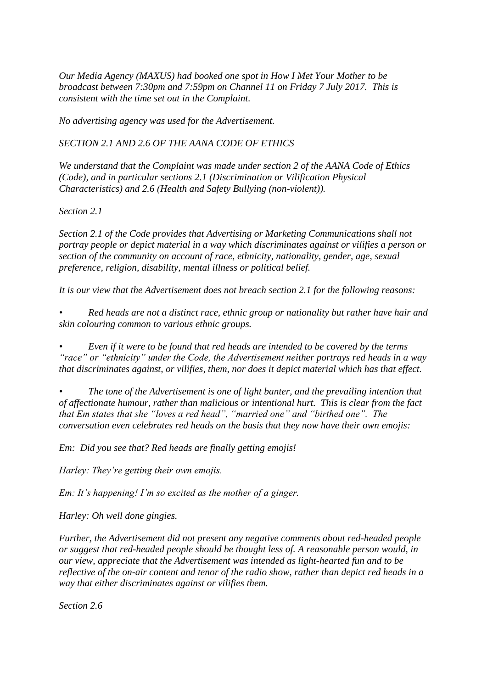*Our Media Agency (MAXUS) had booked one spot in How I Met Your Mother to be broadcast between 7:30pm and 7:59pm on Channel 11 on Friday 7 July 2017. This is consistent with the time set out in the Complaint.*

*No advertising agency was used for the Advertisement.*

*SECTION 2.1 AND 2.6 OF THE AANA CODE OF ETHICS*

*We understand that the Complaint was made under section 2 of the AANA Code of Ethics (Code), and in particular sections 2.1 (Discrimination or Vilification Physical Characteristics) and 2.6 (Health and Safety Bullying (non-violent)).*

*Section 2.1*

*Section 2.1 of the Code provides that Advertising or Marketing Communications shall not portray people or depict material in a way which discriminates against or vilifies a person or section of the community on account of race, ethnicity, nationality, gender, age, sexual preference, religion, disability, mental illness or political belief.*

*It is our view that the Advertisement does not breach section 2.1 for the following reasons:*

*• Red heads are not a distinct race, ethnic group or nationality but rather have hair and skin colouring common to various ethnic groups.*

*• Even if it were to be found that red heads are intended to be covered by the terms "race" or "ethnicity" under the Code, the Advertisement neither portrays red heads in a way that discriminates against, or vilifies, them, nor does it depict material which has that effect.*

*• The tone of the Advertisement is one of light banter, and the prevailing intention that of affectionate humour, rather than malicious or intentional hurt. This is clear from the fact that Em states that she "loves a red head", "married one" and "birthed one". The conversation even celebrates red heads on the basis that they now have their own emojis:*

*Em: Did you see that? Red heads are finally getting emojis!*

*Harley: They're getting their own emojis.*

*Em: It's happening! I'm so excited as the mother of a ginger.*

*Harley: Oh well done gingies.*

*Further, the Advertisement did not present any negative comments about red-headed people or suggest that red-headed people should be thought less of. A reasonable person would, in our view, appreciate that the Advertisement was intended as light-hearted fun and to be reflective of the on-air content and tenor of the radio show, rather than depict red heads in a way that either discriminates against or vilifies them.*

*Section 2.6*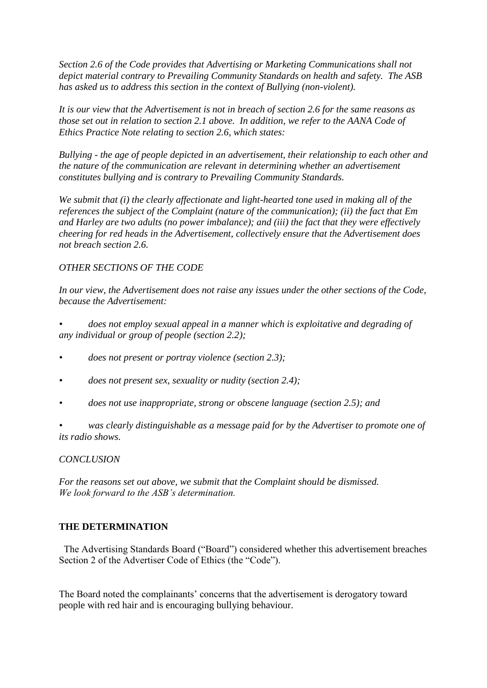*Section 2.6 of the Code provides that Advertising or Marketing Communications shall not depict material contrary to Prevailing Community Standards on health and safety. The ASB has asked us to address this section in the context of Bullying (non-violent).*

*It is our view that the Advertisement is not in breach of section 2.6 for the same reasons as those set out in relation to section 2.1 above. In addition, we refer to the AANA Code of Ethics Practice Note relating to section 2.6, which states:*

*Bullying - the age of people depicted in an advertisement, their relationship to each other and the nature of the communication are relevant in determining whether an advertisement constitutes bullying and is contrary to Prevailing Community Standards.*

*We submit that (i) the clearly affectionate and light-hearted tone used in making all of the references the subject of the Complaint (nature of the communication); (ii) the fact that Em and Harley are two adults (no power imbalance); and (iii) the fact that they were effectively cheering for red heads in the Advertisement, collectively ensure that the Advertisement does not breach section 2.6.*

# *OTHER SECTIONS OF THE CODE*

*In our view, the Advertisement does not raise any issues under the other sections of the Code, because the Advertisement:*

*• does not employ sexual appeal in a manner which is exploitative and degrading of any individual or group of people (section 2.2);*

- *• does not present or portray violence (section 2.3);*
- *• does not present sex, sexuality or nudity (section 2.4);*
- *• does not use inappropriate, strong or obscene language (section 2.5); and*

*• was clearly distinguishable as a message paid for by the Advertiser to promote one of its radio shows.*

### *CONCLUSION*

*For the reasons set out above, we submit that the Complaint should be dismissed. We look forward to the ASB's determination.*

## **THE DETERMINATION**

 The Advertising Standards Board ("Board") considered whether this advertisement breaches Section 2 of the Advertiser Code of Ethics (the "Code").

The Board noted the complainants' concerns that the advertisement is derogatory toward people with red hair and is encouraging bullying behaviour.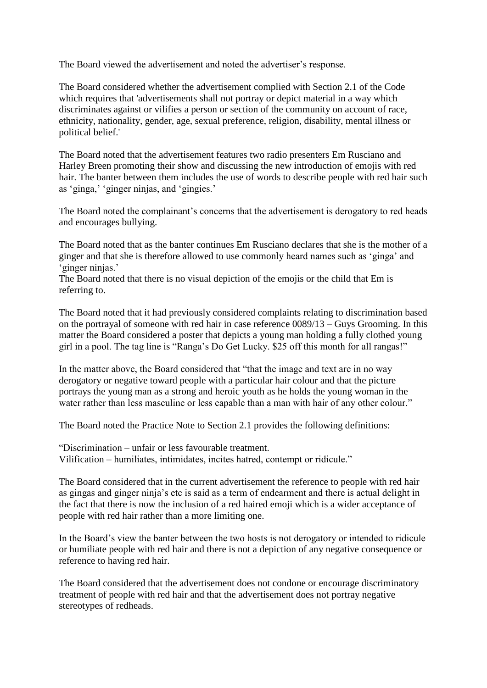The Board viewed the advertisement and noted the advertiser's response.

The Board considered whether the advertisement complied with Section 2.1 of the Code which requires that 'advertisements shall not portray or depict material in a way which discriminates against or vilifies a person or section of the community on account of race, ethnicity, nationality, gender, age, sexual preference, religion, disability, mental illness or political belief.'

The Board noted that the advertisement features two radio presenters Em Rusciano and Harley Breen promoting their show and discussing the new introduction of emojis with red hair. The banter between them includes the use of words to describe people with red hair such as 'ginga,' 'ginger ninjas, and 'gingies.'

The Board noted the complainant's concerns that the advertisement is derogatory to red heads and encourages bullying.

The Board noted that as the banter continues Em Rusciano declares that she is the mother of a ginger and that she is therefore allowed to use commonly heard names such as 'ginga' and 'ginger ninjas.'

The Board noted that there is no visual depiction of the emojis or the child that Em is referring to.

The Board noted that it had previously considered complaints relating to discrimination based on the portrayal of someone with red hair in case reference 0089/13 – Guys Grooming. In this matter the Board considered a poster that depicts a young man holding a fully clothed young girl in a pool. The tag line is "Ranga's Do Get Lucky. \$25 off this month for all rangas!"

In the matter above, the Board considered that "that the image and text are in no way derogatory or negative toward people with a particular hair colour and that the picture portrays the young man as a strong and heroic youth as he holds the young woman in the water rather than less masculine or less capable than a man with hair of any other colour."

The Board noted the Practice Note to Section 2.1 provides the following definitions:

"Discrimination – unfair or less favourable treatment. Vilification – humiliates, intimidates, incites hatred, contempt or ridicule."

The Board considered that in the current advertisement the reference to people with red hair as gingas and ginger ninja's etc is said as a term of endearment and there is actual delight in the fact that there is now the inclusion of a red haired emoji which is a wider acceptance of people with red hair rather than a more limiting one.

In the Board's view the banter between the two hosts is not derogatory or intended to ridicule or humiliate people with red hair and there is not a depiction of any negative consequence or reference to having red hair.

The Board considered that the advertisement does not condone or encourage discriminatory treatment of people with red hair and that the advertisement does not portray negative stereotypes of redheads.